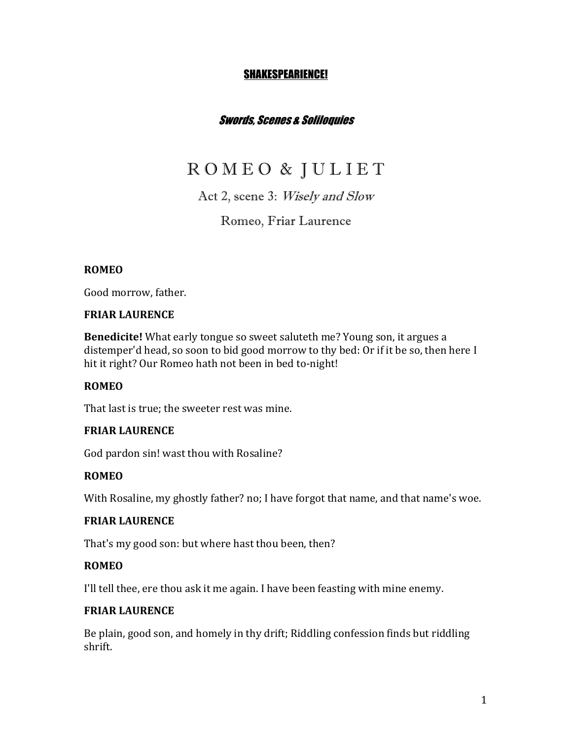## SHAKESPEARIENCE!

# Swords, Scenes & Soliloquies

# R O M E O & J U L I E T

# Act 2, scene 3: Wisely and Slow

## Romeo, Friar Laurence

## **ROMEO**

Good morrow, father.

#### **FRIAR LAURENCE**

**Benedicite!** What early tongue so sweet saluteth me? Young son, it argues a distemper'd head, so soon to bid good morrow to thy bed: Or if it be so, then here I hit it right? Our Romeo hath not been in bed to-night!

## **ROMEO**

That last is true; the sweeter rest was mine.

## **FRIAR LAURENCE**

God pardon sin! wast thou with Rosaline?

## **ROMEO**

With Rosaline, my ghostly father? no; I have forgot that name, and that name's woe.

#### **FRIAR LAURENCE**

That's my good son: but where hast thou been, then?

#### **ROMEO**

I'll tell thee, ere thou ask it me again. I have been feasting with mine enemy.

#### **FRIAR LAURENCE**

Be plain, good son, and homely in thy drift; Riddling confession finds but riddling shrift.